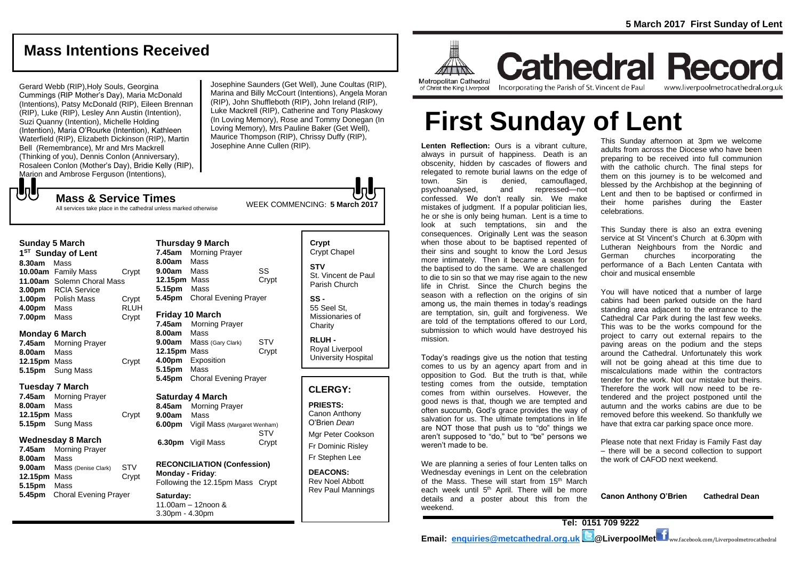## **Mass Intentions Received**

Gerard Webb (RIP),Holy Souls, Georgina Cummings (RIP Mother's Day), Maria McDonald (Intentions), Patsy McDonald (RIP), Eileen Brennan (RIP), Luke (RIP), Lesley Ann Austin (Intention), Suzi Quanny (Intention), Michelle Holding (Intention), Maria O'Rourke (Intention), Kathleen Waterfield (RIP), Elizabeth Dickinson (RIP), Martin Bell (Remembrance), Mr and Mrs Mackrell (Thinking of you), Dennis Conlon (Anniversary), Rosaleen Conlon (Mother's Day), Bridie Kelly (RIP), Marion and Ambrose Ferguson (Intentions),

Josephine Saunders (Get Well), June Coultas (RIP), Marina and Billy McCourt (Intentions), Angela Moran (RIP), John Shuffleboth (RIP), John Ireland (RIP), Luke Mackrell (RIP), Catherine and Tony Plaskowy (In Loving Memory), Rose and Tommy Donegan (In Loving Memory), Mrs Pauline Baker (Get Well), Maurice Thompson (RIP), Chrissy Duffy (RIP), Josephine Anne Cullen (RIP).

WEEK COMMENCING: **5 March <sup>2017</sup> Mass & Service Times** All services take place in the cathedral unless marked otherwise

#### **Sunday 5 March**

もし

**1 ST Sunday of Lent 8.30am** Mass **10.00am** Family Mass Crypt **11.00am** Solemn Choral Mass **3.00pm** RCIA Service **1.00pm** Polish Mass Crypt **4.00pm** Mass RLUH **7.00pm** Mass Crypt

#### **Monday 6 March**

**7.45am** Morning Prayer **8.00am** Mass **12.15pm** Mass Crypt **5.15pm** Sung Mass

#### **Tuesday 7 March**

| 7.45am       | <b>Morning Prayer</b>   |       |
|--------------|-------------------------|-------|
| 8.00am       | Mass                    |       |
| 12.15pm Mass |                         | Crypt |
|              | <b>5.15pm</b> Sung Mass |       |

#### **Wednesday 8 March**

**7.45am** Morning Prayer **8.00am** Mass **9.00am** Mass (Denise Clark) STV **12.15pm** Mass Crypt **5.15pm** Mass **5.45pm** Choral Evening Prayer

| <b>Thursday 9 March</b> |                              |       |  |  |
|-------------------------|------------------------------|-------|--|--|
| 7.45am                  | <b>Morning Prayer</b>        |       |  |  |
| 8.00am                  | Mass                         |       |  |  |
| 9.00am Mass             |                              | SS    |  |  |
| 12.15pm Mass            |                              | Crypt |  |  |
| 5.15pm Mass             |                              |       |  |  |
| 5.45pm                  | <b>Choral Evening Prayer</b> |       |  |  |
|                         |                              |       |  |  |
| Friday 10 March         |                              |       |  |  |
| 7.45am                  | <b>Morning Prayer</b>        |       |  |  |
| 8.00am                  | Mass                         |       |  |  |
| 9.00am                  | Mass (Gary Clark)            | STV   |  |  |
| 12.15pm Mass            |                              | Crypt |  |  |
| 4.00pm                  | Exposition                   |       |  |  |
| 5.15pm                  | Mass                         |       |  |  |
| 5.45pm                  | Choral Evening Prayer        |       |  |  |
|                         |                              |       |  |  |
| Saturday 4 March        |                              |       |  |  |

| 8.45am | <b>Morning Prayer</b>        |            |  |
|--------|------------------------------|------------|--|
| 9.00am | Mass                         |            |  |
| 6.00pm | Vigil Mass (Margaret Wenham) |            |  |
|        |                              | <b>STV</b> |  |
|        | 6.30pm Vigil Mass            | Crypt      |  |
|        |                              |            |  |

**RECONCILIATION (Confession) Monday - Friday**: Following the 12.15pm Mass Crypt

**Saturday:** 11.00am – 12noon & 3.30pm - 4.30pm

#### **Crypt**  Crypt Chapel **STV** St. Vincent de Paul Parish Church

**SS -** 55 Seel St, Missionaries of **Charity** 

**RLUH -** Royal Liverpool University Hospital

#### **CLERGY:**

**PRIESTS:** Canon Anthony O'Brien *Dean* Mgr Peter Cookson

Fr Dominic Risley Fr Stephen Lee

**DEACONS:** Rev Noel Abbott Rev Paul Mannings



**Cathedral Record** of Christ the King Liverpool

Incorporating the Parish of St. Vincent de Paul

www.liverpoolmetrocathedral.org.uk

# **First Sunday of Lent**

**Lenten Reflection:** Ours is a vibrant culture, always in pursuit of happiness. Death is an obscenity, hidden by cascades of flowers and relegated to remote burial lawns on the edge of town. Sin is denied, camouflaged, psychoanalysed, and repressed—not confessed. We don't really sin. We make mistakes of judgment. If a popular politician lies, he or she is only being human. Lent is a time to look at such temptations, sin and the consequences. Originally Lent was the season when those about to be baptised repented of their sins and sought to know the Lord Jesus more intimately. Then it became a season for the baptised to do the same. We are challenged to die to sin so that we may rise again to the new life in Christ. Since the Church begins the season with a reflection on the origins of sin among us, the main themes in today's readings are temptation, sin, guilt and forgiveness. We are told of the temptations offered to our Lord, submission to which would have destroyed his mission.

Today's readings give us the notion that testing comes to us by an agency apart from and in opposition to God. But the truth is that, while testing comes from the outside, temptation comes from within ourselves. However, the good news is that, though we are tempted and often succumb, God's grace provides the way of salvation for us. The ultimate temptations in life are NOT those that push us to "do" things we aren't supposed to "do," but to "be" persons we weren't made to be.

We are planning a series of four Lenten talks on Wednesday evenings in Lent on the celebration of the Mass. These will start from 15<sup>th</sup> March each week until 5<sup>th</sup> April. There will be more details and a poster about this from the weekend.

This Sunday afternoon at 3pm we welcome adults from across the Diocese who have been preparing to be received into full communion with the catholic church. The final steps for them on this journey is to be welcomed and blessed by the Archbishop at the beginning of Lent and then to be baptised or confirmed in their home parishes during the Easter celebrations.

This Sunday there is also an extra evening service at St Vincent's Church at 6.30pm with Lutheran Neighbours from the Nordic and German churches incorporating the performance of a Bach Lenten Cantata with choir and musical ensemble

You will have noticed that a number of large cabins had been parked outside on the hard standing area adjacent to the entrance to the Cathedral Car Park during the last few weeks. This was to be the works compound for the project to carry out external repairs to the paving areas on the podium and the steps around the Cathedral. Unfortunately this work will not be going ahead at this time due to miscalculations made within the contractors tender for the work. Not our mistake but theirs. Therefore the work will now need to be retendered and the project postponed until the autumn and the works cabins are due to be removed before this weekend. So thankfully we have that extra car parking space once more.

Please note that next Friday is Family Fast day – there will be a second collection to support the work of CAFOD next weekend.

**Canon Anthony O'Brien Cathedral Dean**